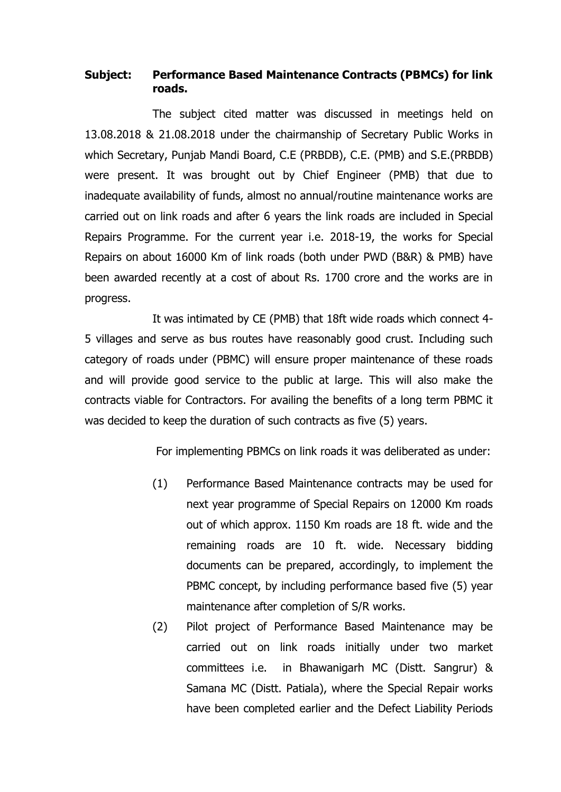### **Subject: Performance Based Maintenance Contracts (PBMCs) for link roads.**

The subject cited matter was discussed in meetings held on 13.08.2018 & 21.08.2018 under the chairmanship of Secretary Public Works in which Secretary, Punjab Mandi Board, C.E (PRBDB), C.E. (PMB) and S.E.(PRBDB) were present. It was brought out by Chief Engineer (PMB) that due to inadequate availability of funds, almost no annual/routine maintenance works are carried out on link roads and after 6 years the link roads are included in Special Repairs Programme. For the current year i.e. 2018-19, the works for Special Repairs on about 16000 Km of link roads (both under PWD (B&R) & PMB) have been awarded recently at a cost of about Rs. 1700 crore and the works are in progress.

It was intimated by CE (PMB) that 18ft wide roads which connect 4- 5 villages and serve as bus routes have reasonably good crust. Including such category of roads under (PBMC) will ensure proper maintenance of these roads and will provide good service to the public at large. This will also make the contracts viable for Contractors. For availing the benefits of a long term PBMC it was decided to keep the duration of such contracts as five (5) years.

For implementing PBMCs on link roads it was deliberated as under:

- (1) Performance Based Maintenance contracts may be used for next year programme of Special Repairs on 12000 Km roads out of which approx. 1150 Km roads are 18 ft. wide and the remaining roads are 10 ft. wide. Necessary bidding documents can be prepared, accordingly, to implement the PBMC concept, by including performance based five (5) year maintenance after completion of S/R works.
- (2) Pilot project of Performance Based Maintenance may be carried out on link roads initially under two market committees i.e. in Bhawanigarh MC (Distt. Sangrur) & Samana MC (Distt. Patiala), where the Special Repair works have been completed earlier and the Defect Liability Periods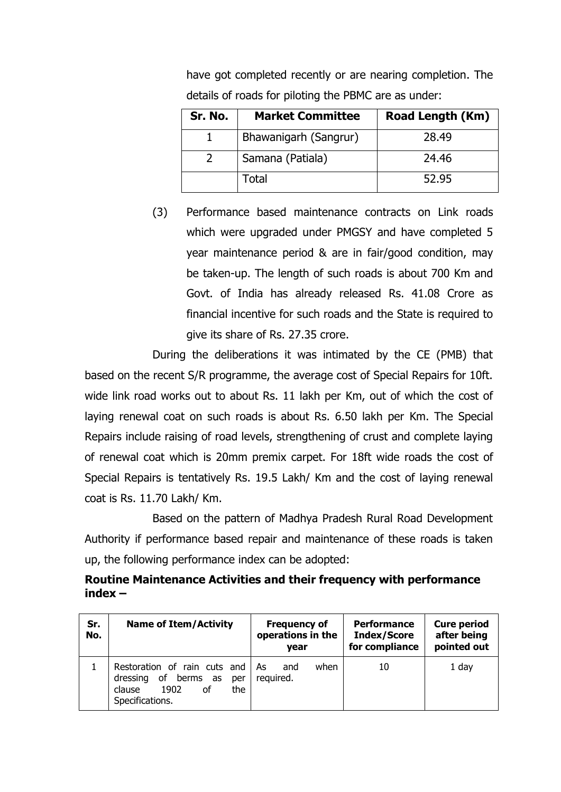| Sr. No. | <b>Market Committee</b> | <b>Road Length (Km)</b> |
|---------|-------------------------|-------------------------|
|         | Bhawanigarh (Sangrur)   | 28.49                   |
|         | Samana (Patiala)        | 24.46                   |
|         | Total                   | 52.95                   |

have got completed recently or are nearing completion. The details of roads for piloting the PBMC are as under:

(3) Performance based maintenance contracts on Link roads which were upgraded under PMGSY and have completed 5 year maintenance period & are in fair/good condition, may be taken-up. The length of such roads is about 700 Km and Govt. of India has already released Rs. 41.08 Crore as financial incentive for such roads and the State is required to give its share of Rs. 27.35 crore.

During the deliberations it was intimated by the CE (PMB) that based on the recent S/R programme, the average cost of Special Repairs for 10ft. wide link road works out to about Rs. 11 lakh per Km, out of which the cost of laying renewal coat on such roads is about Rs. 6.50 lakh per Km. The Special Repairs include raising of road levels, strengthening of crust and complete laying of renewal coat which is 20mm premix carpet. For 18ft wide roads the cost of Special Repairs is tentatively Rs. 19.5 Lakh/ Km and the cost of laying renewal coat is Rs. 11.70 Lakh/ Km.

Based on the pattern of Madhya Pradesh Rural Road Development Authority if performance based repair and maintenance of these roads is taken up, the following performance index can be adopted:

## **Routine Maintenance Activities and their frequency with performance index –**

| Sr.<br>No. | <b>Name of Item/Activity</b>                                                                                           | <b>Frequency of</b><br>operations in the<br>vear | <b>Performance</b><br><b>Index/Score</b><br>for compliance | <b>Cure period</b><br>after being<br>pointed out |
|------------|------------------------------------------------------------------------------------------------------------------------|--------------------------------------------------|------------------------------------------------------------|--------------------------------------------------|
|            | Restoration of rain cuts and<br>berms<br>of<br>dressing<br>as<br>per<br>1902<br>οf<br>the<br>clause<br>Specifications. | As<br>when<br>and<br>required.                   | 10                                                         | 1 day                                            |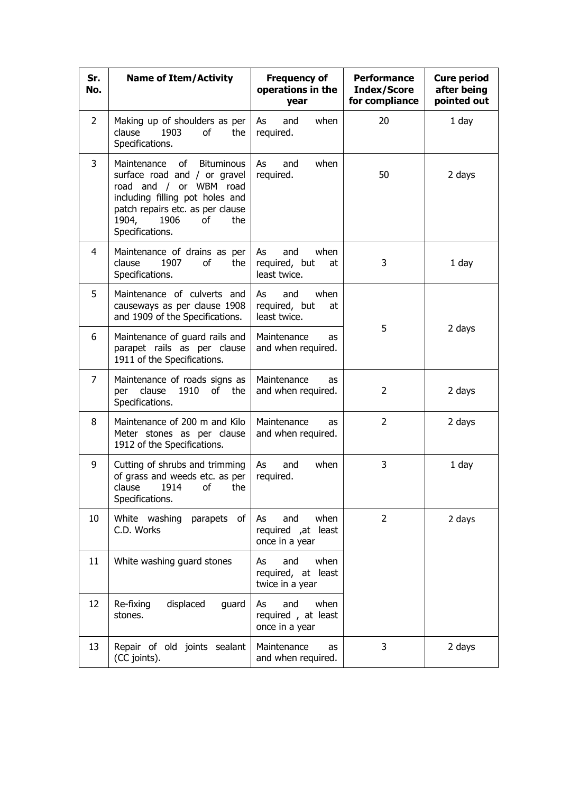| Sr.<br>No.     | <b>Name of Item/Activity</b>                                                                                                                                                                                             | <b>Frequency of</b><br>operations in the<br>year           | <b>Performance</b><br><b>Index/Score</b><br>for compliance | <b>Cure period</b><br>after being<br>pointed out |
|----------------|--------------------------------------------------------------------------------------------------------------------------------------------------------------------------------------------------------------------------|------------------------------------------------------------|------------------------------------------------------------|--------------------------------------------------|
| $\overline{2}$ | Making up of shoulders as per<br>1903<br>clause<br>of<br>the<br>Specifications.                                                                                                                                          | when<br>As<br>and<br>required.                             | 20                                                         | 1 day                                            |
| 3              | Maintenance<br>of<br><b>Bituminous</b><br>surface road and / or gravel<br>road and / or WBM road<br>including filling pot holes and<br>patch repairs etc. as per clause<br>1904,<br>1906<br>of<br>the<br>Specifications. | when<br>and<br>As<br>required.                             | 50                                                         | 2 days                                           |
| 4              | Maintenance of drains as per<br>1907<br>clause<br>of<br>the<br>Specifications.                                                                                                                                           | As<br>and<br>when<br>required, but<br>at<br>least twice.   | 3                                                          | 1 day                                            |
| 5              | Maintenance of culverts and<br>causeways as per clause 1908<br>and 1909 of the Specifications.                                                                                                                           | when<br>and<br>As<br>required, but<br>at<br>least twice.   |                                                            |                                                  |
| 6              | Maintenance of guard rails and<br>parapet rails as per clause<br>1911 of the Specifications.                                                                                                                             | Maintenance<br>as<br>and when required.                    | 5                                                          | 2 days                                           |
| $\overline{7}$ | Maintenance of roads signs as<br>clause<br>1910<br>per<br>of<br>the<br>Specifications.                                                                                                                                   | Maintenance<br>as<br>and when required.                    | 2                                                          | 2 days                                           |
| 8              | Maintenance of 200 m and Kilo<br>Meter stones as per clause<br>1912 of the Specifications.                                                                                                                               | Maintenance<br>as<br>and when required.                    | $\overline{2}$                                             | 2 days                                           |
| 9              | Cutting of shrubs and trimming<br>of grass and weeds etc. as per<br>clause 1914 of the<br>Specifications.                                                                                                                | when<br>As<br>and<br>required.                             | 3                                                          | $1$ day                                          |
| 10             | White washing<br>parapets of<br>C.D. Works                                                                                                                                                                               | and<br>when<br>As<br>required ,at least<br>once in a year  | $\overline{2}$                                             | 2 days                                           |
| 11             | White washing guard stones                                                                                                                                                                                               | and<br>when<br>As<br>required, at least<br>twice in a year |                                                            |                                                  |
| 12             | displaced<br>Re-fixing<br>guard<br>stones.                                                                                                                                                                               | when<br>and<br>As<br>required, at least<br>once in a year  |                                                            |                                                  |
| 13             | Repair of old joints sealant<br>(CC joints).                                                                                                                                                                             | Maintenance<br>as<br>and when required.                    | 3                                                          | 2 days                                           |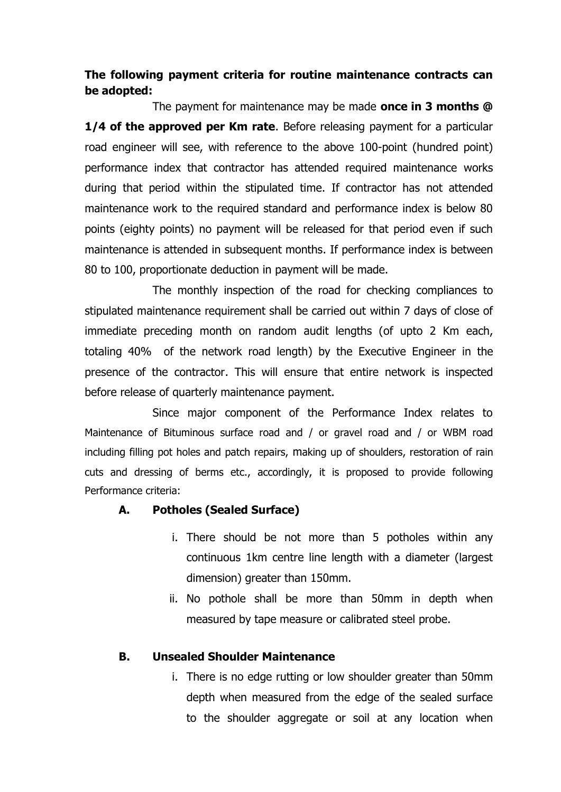# **The following payment criteria for routine maintenance contracts can be adopted:**

The payment for maintenance may be made **once in 3 months @ 1/4 of the approved per Km rate.** Before releasing payment for a particular road engineer will see, with reference to the above 100-point (hundred point) performance index that contractor has attended required maintenance works during that period within the stipulated time. If contractor has not attended maintenance work to the required standard and performance index is below 80 points (eighty points) no payment will be released for that period even if such maintenance is attended in subsequent months. If performance index is between 80 to 100, proportionate deduction in payment will be made.

The monthly inspection of the road for checking compliances to stipulated maintenance requirement shall be carried out within 7 days of close of immediate preceding month on random audit lengths (of upto 2 Km each, totaling 40% of the network road length) by the Executive Engineer in the presence of the contractor. This will ensure that entire network is inspected before release of quarterly maintenance payment.

Since major component of the Performance Index relates to Maintenance of Bituminous surface road and / or gravel road and / or WBM road including filling pot holes and patch repairs, making up of shoulders, restoration of rain cuts and dressing of berms etc., accordingly, it is proposed to provide following Performance criteria:

## **A. Potholes (Sealed Surface)**

- i. There should be not more than 5 potholes within any continuous 1km centre line length with a diameter (largest dimension) greater than 150mm.
- ii. No pothole shall be more than 50mm in depth when measured by tape measure or calibrated steel probe.

#### **B. Unsealed Shoulder Maintenance**

i. There is no edge rutting or low shoulder greater than 50mm depth when measured from the edge of the sealed surface to the shoulder aggregate or soil at any location when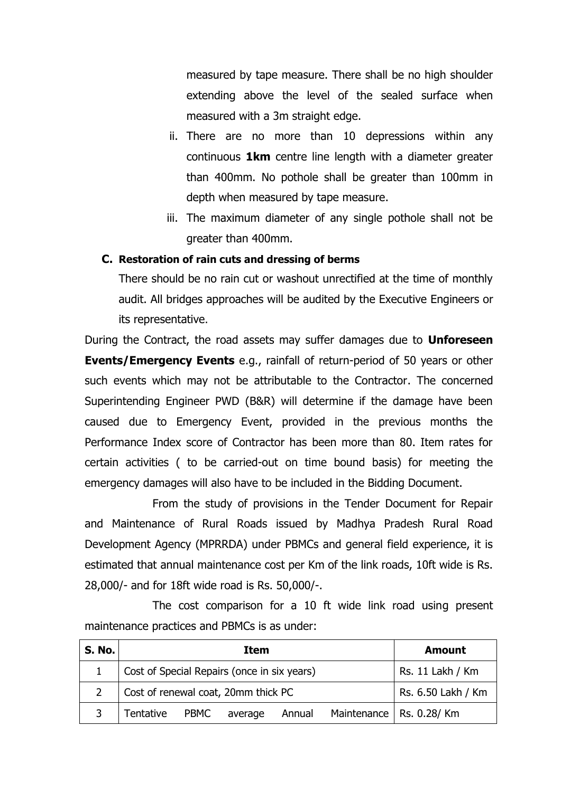measured by tape measure. There shall be no high shoulder extending above the level of the sealed surface when measured with a 3m straight edge.

- ii. There are no more than 10 depressions within any continuous **1km** centre line length with a diameter greater than 400mm. No pothole shall be greater than 100mm in depth when measured by tape measure.
- iii. The maximum diameter of any single pothole shall not be greater than 400mm.

#### **C. Restoration of rain cuts and dressing of berms**

There should be no rain cut or washout unrectified at the time of monthly audit. All bridges approaches will be audited by the Executive Engineers or its representative.

During the Contract, the road assets may suffer damages due to **Unforeseen Events/Emergency Events** e.g., rainfall of return-period of 50 years or other such events which may not be attributable to the Contractor. The concerned Superintending Engineer PWD (B&R) will determine if the damage have been caused due to Emergency Event, provided in the previous months the Performance Index score of Contractor has been more than 80. Item rates for certain activities ( to be carried-out on time bound basis) for meeting the emergency damages will also have to be included in the Bidding Document.

From the study of provisions in the Tender Document for Repair and Maintenance of Rural Roads issued by Madhya Pradesh Rural Road Development Agency (MPRRDA) under PBMCs and general field experience, it is estimated that annual maintenance cost per Km of the link roads, 10ft wide is Rs. 28,000/- and for 18ft wide road is Rs. 50,000/-.

The cost comparison for a 10 ft wide link road using present maintenance practices and PBMCs is as under:

| <b>S. No.</b> | <b>Item</b>                                 |  |         | Amount             |  |                            |
|---------------|---------------------------------------------|--|---------|--------------------|--|----------------------------|
|               | Cost of Special Repairs (once in six years) |  |         | Rs. 11 Lakh / Km   |  |                            |
|               | Cost of renewal coat, 20mm thick PC         |  |         | Rs. 6.50 Lakh / Km |  |                            |
|               | Tentative PBMC                              |  | average | Annual             |  | Maintenance   Rs. 0.28/ Km |